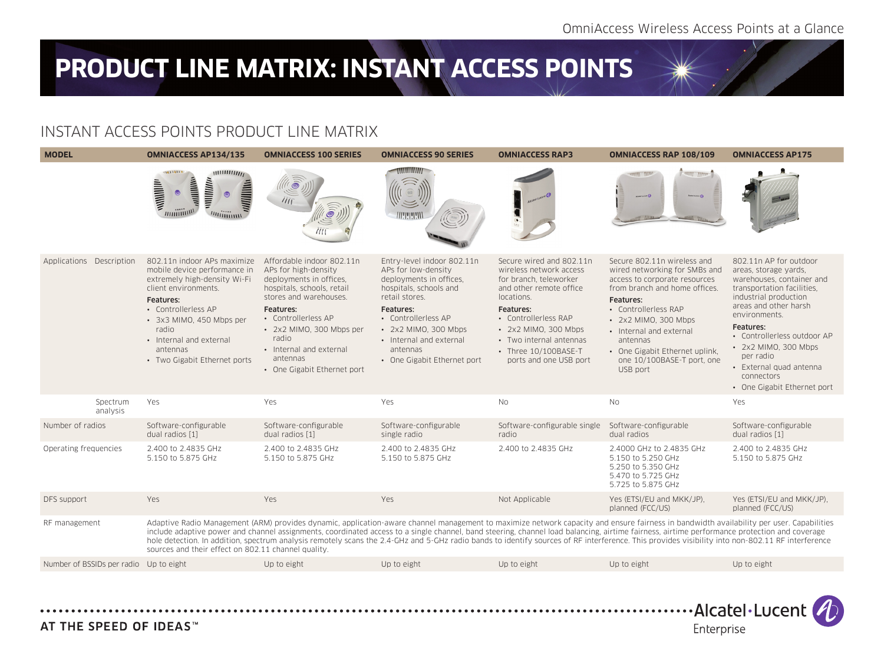## **PRODUCT LINE MATRIX: INSTANT ACCESS POINTS**

## INSTANT ACCESS POINTS PRODUCT LINE MATRIX





AT THE SPEED OF IDEAS™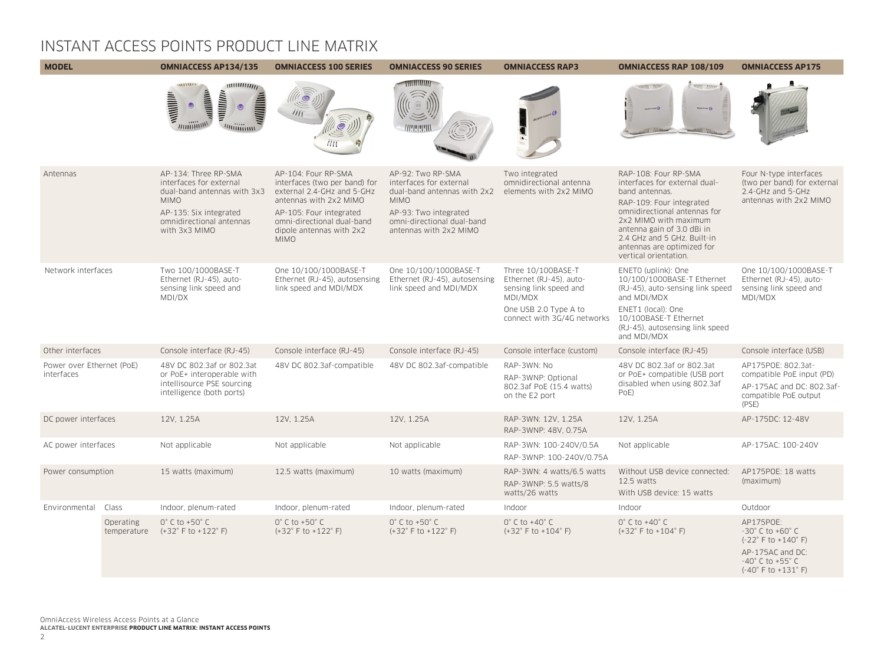## INSTANT ACCESS POINTS PRODUCT LINE MATRIX

| <b>MODEL</b>                            |                                 | <b>OMNIACCESS AP134/135</b>                                                                                                                                          | <b>OMNIACCESS 100 SERIES</b>                                                                                                                                                                                     | <b>OMNIACCESS 90 SERIES</b>                                                                                                                                                 | <b>OMNIACCESS RAP3</b>                                                                                                                     | <b>OMNIACCESS RAP 108/109</b>                                                                                                                                                                                                                                                    | <b>OMNIACCESS AP175</b>                                                                                                                                                                     |
|-----------------------------------------|---------------------------------|----------------------------------------------------------------------------------------------------------------------------------------------------------------------|------------------------------------------------------------------------------------------------------------------------------------------------------------------------------------------------------------------|-----------------------------------------------------------------------------------------------------------------------------------------------------------------------------|--------------------------------------------------------------------------------------------------------------------------------------------|----------------------------------------------------------------------------------------------------------------------------------------------------------------------------------------------------------------------------------------------------------------------------------|---------------------------------------------------------------------------------------------------------------------------------------------------------------------------------------------|
|                                         |                                 | $\frac{1}{1}$<br>adillitive<br>willlitte<br>willimin.<br>$\circledcirc$<br>minimu<br><i>muittimm</i>                                                                 | ÌÌĨ                                                                                                                                                                                                              | www.<br>munum                                                                                                                                                               |                                                                                                                                            | <b>HANNEL AND AN</b><br><b>CONTROLLING</b><br><b>GRASS LICENS</b>                                                                                                                                                                                                                |                                                                                                                                                                                             |
| Antennas                                |                                 | AP-134: Three RP-SMA<br>interfaces for external<br>dual-band antennas with 3x3<br><b>MIMO</b><br>AP-135: Six integrated<br>omnidirectional antennas<br>with 3x3 MIMO | AP-104: Four RP-SMA<br>interfaces (two per band) for<br>external 2.4-GHz and 5-GHz<br>antennas with 2x2 MIMO<br>AP-105: Four integrated<br>omni-directional dual-band<br>dipole antennas with 2x2<br><b>MIMO</b> | AP-92: Two RP-SMA<br>interfaces for external<br>dual-band antennas with 2x2<br><b>MIMO</b><br>AP-93: Two integrated<br>omni-directional dual-band<br>antennas with 2x2 MIMO | Two integrated<br>omnidirectional antenna<br>elements with 2x2 MIMO                                                                        | RAP-108: Four RP-SMA<br>interfaces for external dual-<br>band antennas.<br>RAP-109: Four integrated<br>omnidirectional antennas for<br>2x2 MIMO with maximum<br>antenna gain of 3.0 dBi in<br>2.4 GHz and 5 GHz. Built-in<br>antennas are optimized for<br>vertical orientation. | Four N-type interfaces<br>(two per band) for external<br>2.4-GHz and 5-GHz<br>antennas with 2x2 MIMO                                                                                        |
| Network interfaces                      |                                 | Two 100/1000BASE-T<br>Ethernet (RJ-45), auto-<br>sensing link speed and<br>MDI/DX                                                                                    | One 10/100/1000BASE-T<br>Ethernet (RJ-45), autosensing<br>link speed and MDI/MDX                                                                                                                                 | One 10/100/1000BASE-T<br>Ethernet (RJ-45), autosensing<br>link speed and MDI/MDX                                                                                            | Three 10/100BASE-T<br>Ethernet (RJ-45), auto-<br>sensing link speed and<br>MDI/MDX<br>One USB 2.0 Type A to<br>connect with 3G/4G networks | ENETO (uplink): One<br>10/100/1000BASE-T Ethernet<br>(RJ-45), auto-sensing link speed<br>and MDI/MDX<br>ENET1 (local): One<br>10/100BASE-T Ethernet<br>(RJ-45), autosensing link speed<br>and MDI/MDX                                                                            | One 10/100/1000BASE-T<br>Ethernet (RJ-45), auto-<br>sensing link speed and<br>MDI/MDX                                                                                                       |
| Other interfaces                        |                                 | Console interface (RJ-45)                                                                                                                                            | Console interface (RJ-45)                                                                                                                                                                                        | Console interface (RJ-45)                                                                                                                                                   | Console interface (custom)                                                                                                                 | Console interface (RJ-45)                                                                                                                                                                                                                                                        | Console interface (USB)                                                                                                                                                                     |
| Power over Ethernet (PoE)<br>interfaces |                                 | 48V DC 802.3af or 802.3at<br>or PoE+ interoperable with<br>intellisource PSE sourcing<br>intelligence (both ports)                                                   | 48V DC 802.3af-compatible                                                                                                                                                                                        | 48V DC 802.3af-compatible                                                                                                                                                   | RAP-3WN: No<br>RAP-3WNP: Optional<br>802.3af PoE (15.4 watts)<br>on the E2 port                                                            | 48V DC 802.3af or 802.3at<br>or PoE+ compatible (USB port<br>disabled when using 802.3af<br>PoE)                                                                                                                                                                                 | AP175POE: 802.3at-<br>compatible PoE input (PD)<br>AP-175AC and DC: 802.3af-<br>compatible PoE output<br>(PSE)                                                                              |
| DC power interfaces                     |                                 | 12V, 1.25A                                                                                                                                                           | 12V, 1.25A                                                                                                                                                                                                       | 12V. 1.25A                                                                                                                                                                  | RAP-3WN: 12V, 1.25A<br>RAP-3WNP: 48V, 0.75A                                                                                                | 12V, 1.25A                                                                                                                                                                                                                                                                       | AP-175DC: 12-48V                                                                                                                                                                            |
| AC power interfaces                     |                                 | Not applicable                                                                                                                                                       | Not applicable                                                                                                                                                                                                   | Not applicable                                                                                                                                                              | RAP-3WN: 100-240V/0.5A<br>RAP-3WNP: 100-240V/0.75A                                                                                         | Not applicable                                                                                                                                                                                                                                                                   | AP-175AC: 100-240V                                                                                                                                                                          |
| Power consumption                       |                                 | 15 watts (maximum)                                                                                                                                                   | 12.5 watts (maximum)                                                                                                                                                                                             | 10 watts (maximum)                                                                                                                                                          | RAP-3WN: 4 watts/6.5 watts<br>RAP-3WNP: 5.5 watts/8<br>watts/26 watts                                                                      | Without USB device connected:<br>12.5 watts<br>With USB device: 15 watts                                                                                                                                                                                                         | AP175POE: 18 watts<br>(maximum)                                                                                                                                                             |
| Environmental                           | Class                           | Indoor, plenum-rated                                                                                                                                                 | Indoor, plenum-rated                                                                                                                                                                                             | Indoor, plenum-rated                                                                                                                                                        | Indoor                                                                                                                                     | Indoor                                                                                                                                                                                                                                                                           | Outdoor                                                                                                                                                                                     |
|                                         | <b>Operating</b><br>temperature | $0^\circ$ C to +50 $^\circ$ C<br>$(+32^{\circ}$ F to $+122^{\circ}$ F)                                                                                               | $0^\circ$ C to +50 $^\circ$ C<br>$(+32^{\circ}$ F to $+122^{\circ}$ F)                                                                                                                                           | $0^\circ$ C to +50 $^\circ$ C<br>$(+32^{\circ}$ F to $+122^{\circ}$ F)                                                                                                      | $0^\circ$ C to +40 $^\circ$ C<br>$(+32^{\circ}$ F to $+104^{\circ}$ F)                                                                     | $0^\circ$ C to +40 $^\circ$ C<br>$(+32^{\circ}$ F to $+104^{\circ}$ F)                                                                                                                                                                                                           | AP175POE:<br>$-30^{\circ}$ C to $+60^{\circ}$ C<br>$(-22^{\circ}$ F to $+140^{\circ}$ F)<br>AP-175AC and DC:<br>$-40^{\circ}$ C to $+55^{\circ}$ C<br>$(-40^{\circ}$ F to $+131^{\circ}$ F) |